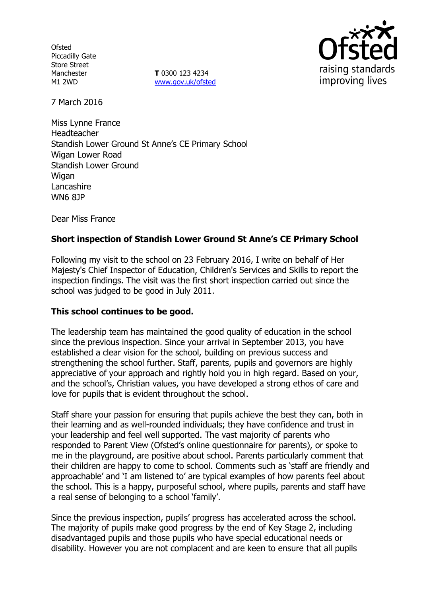**Ofsted** Piccadilly Gate Store Street Manchester M1 2WD

**T** 0300 123 4234 [www.gov.uk/ofsted](http://www.gov.uk/ofsted)



7 March 2016

Miss Lynne France Headteacher Standish Lower Ground St Anne's CE Primary School Wigan Lower Road Standish Lower Ground Wigan Lancashire WN6 8JP

Dear Miss France

# **Short inspection of Standish Lower Ground St Anne's CE Primary School**

Following my visit to the school on 23 February 2016, I write on behalf of Her Majesty's Chief Inspector of Education, Children's Services and Skills to report the inspection findings. The visit was the first short inspection carried out since the school was judged to be good in July 2011.

## **This school continues to be good.**

The leadership team has maintained the good quality of education in the school since the previous inspection. Since your arrival in September 2013, you have established a clear vision for the school, building on previous success and strengthening the school further. Staff, parents, pupils and governors are highly appreciative of your approach and rightly hold you in high regard. Based on your, and the school's, Christian values, you have developed a strong ethos of care and love for pupils that is evident throughout the school.

Staff share your passion for ensuring that pupils achieve the best they can, both in their learning and as well-rounded individuals; they have confidence and trust in your leadership and feel well supported. The vast majority of parents who responded to Parent View (Ofsted's online questionnaire for parents), or spoke to me in the playground, are positive about school. Parents particularly comment that their children are happy to come to school. Comments such as 'staff are friendly and approachable' and 'I am listened to' are typical examples of how parents feel about the school. This is a happy, purposeful school, where pupils, parents and staff have a real sense of belonging to a school 'family'.

Since the previous inspection, pupils' progress has accelerated across the school. The majority of pupils make good progress by the end of Key Stage 2, including disadvantaged pupils and those pupils who have special educational needs or disability. However you are not complacent and are keen to ensure that all pupils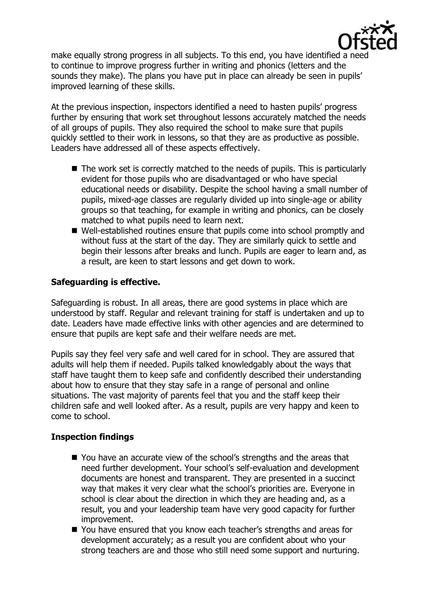

make equally strong progress in all subjects. To this end, you have identified a need to continue to improve progress further in writing and phonics (letters and the sounds they make). The plans you have put in place can already be seen in pupils' improved learning of these skills.

At the previous inspection, inspectors identified a need to hasten pupils' progress further by ensuring that work set throughout lessons accurately matched the needs of all groups of pupils. They also required the school to make sure that pupils quickly settled to their work in lessons, so that they are as productive as possible. Leaders have addressed all of these aspects effectively.

- The work set is correctly matched to the needs of pupils. This is particularly evident for those pupils who are disadvantaged or who have special educational needs or disability. Despite the school having a small number of pupils, mixed-age classes are regularly divided up into single-age or ability groups so that teaching, for example in writing and phonics, can be closely matched to what pupils need to learn next.
- Well-established routines ensure that pupils come into school promptly and without fuss at the start of the day. They are similarly quick to settle and begin their lessons after breaks and lunch. Pupils are eager to learn and, as a result, are keen to start lessons and get down to work.

# **Safeguarding is effective.**

Safeguarding is robust. In all areas, there are good systems in place which are understood by staff. Regular and relevant training for staff is undertaken and up to date. Leaders have made effective links with other agencies and are determined to ensure that pupils are kept safe and their welfare needs are met.

Pupils say they feel very safe and well cared for in school. They are assured that adults will help them if needed. Pupils talked knowledgably about the ways that staff have taught them to keep safe and confidently described their understanding about how to ensure that they stay safe in a range of personal and online situations. The vast majority of parents feel that you and the staff keep their children safe and well looked after. As a result, pupils are very happy and keen to come to school.

## **Inspection findings**

- You have an accurate view of the school's strengths and the areas that need further development. Your school's self-evaluation and development documents are honest and transparent. They are presented in a succinct way that makes it very clear what the school's priorities are. Everyone in school is clear about the direction in which they are heading and, as a result, you and your leadership team have very good capacity for further improvement.
- You have ensured that you know each teacher's strengths and areas for development accurately; as a result you are confident about who your strong teachers are and those who still need some support and nurturing.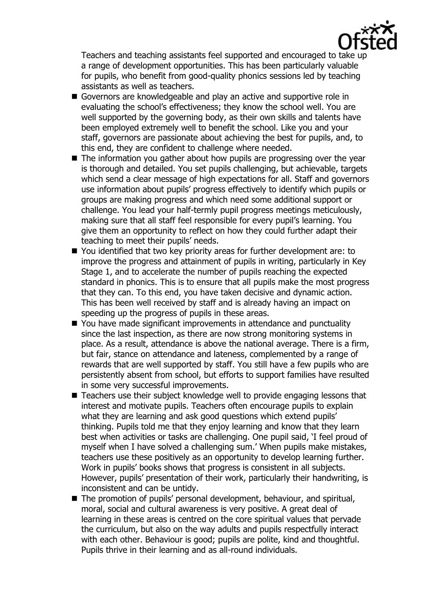

Teachers and teaching assistants feel supported and encouraged to take up a range of development opportunities. This has been particularly valuable for pupils, who benefit from good-quality phonics sessions led by teaching assistants as well as teachers.

- Governors are knowledgeable and play an active and supportive role in evaluating the school's effectiveness; they know the school well. You are well supported by the governing body, as their own skills and talents have been employed extremely well to benefit the school. Like you and your staff, governors are passionate about achieving the best for pupils, and, to this end, they are confident to challenge where needed.
- The information you gather about how pupils are progressing over the year is thorough and detailed. You set pupils challenging, but achievable, targets which send a clear message of high expectations for all. Staff and governors use information about pupils' progress effectively to identify which pupils or groups are making progress and which need some additional support or challenge. You lead your half-termly pupil progress meetings meticulously, making sure that all staff feel responsible for every pupil's learning. You give them an opportunity to reflect on how they could further adapt their teaching to meet their pupils' needs.
- You identified that two key priority areas for further development are: to improve the progress and attainment of pupils in writing, particularly in Key Stage 1, and to accelerate the number of pupils reaching the expected standard in phonics. This is to ensure that all pupils make the most progress that they can. To this end, you have taken decisive and dynamic action. This has been well received by staff and is already having an impact on speeding up the progress of pupils in these areas.
- You have made significant improvements in attendance and punctuality since the last inspection, as there are now strong monitoring systems in place. As a result, attendance is above the national average. There is a firm, but fair, stance on attendance and lateness, complemented by a range of rewards that are well supported by staff. You still have a few pupils who are persistently absent from school, but efforts to support families have resulted in some very successful improvements.
- Teachers use their subject knowledge well to provide engaging lessons that interest and motivate pupils. Teachers often encourage pupils to explain what they are learning and ask good questions which extend pupils' thinking. Pupils told me that they enjoy learning and know that they learn best when activities or tasks are challenging. One pupil said, 'I feel proud of myself when I have solved a challenging sum.' When pupils make mistakes, teachers use these positively as an opportunity to develop learning further. Work in pupils' books shows that progress is consistent in all subjects. However, pupils' presentation of their work, particularly their handwriting, is inconsistent and can be untidy.
- The promotion of pupils' personal development, behaviour, and spiritual, moral, social and cultural awareness is very positive. A great deal of learning in these areas is centred on the core spiritual values that pervade the curriculum, but also on the way adults and pupils respectfully interact with each other. Behaviour is good; pupils are polite, kind and thoughtful. Pupils thrive in their learning and as all-round individuals.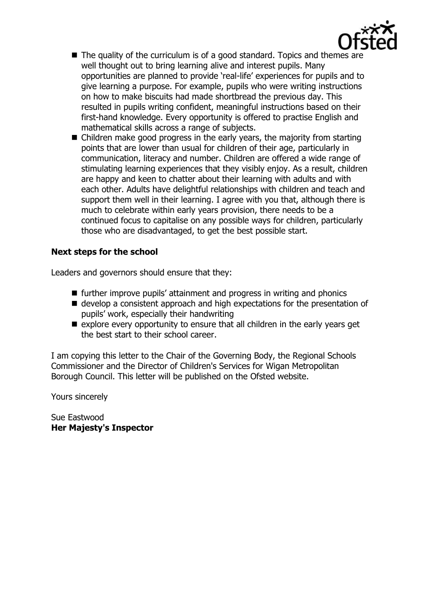

- The quality of the curriculum is of a good standard. Topics and themes are well thought out to bring learning alive and interest pupils. Many opportunities are planned to provide 'real-life' experiences for pupils and to give learning a purpose. For example, pupils who were writing instructions on how to make biscuits had made shortbread the previous day. This resulted in pupils writing confident, meaningful instructions based on their first-hand knowledge. Every opportunity is offered to practise English and mathematical skills across a range of subjects.
- Children make good progress in the early years, the majority from starting points that are lower than usual for children of their age, particularly in communication, literacy and number. Children are offered a wide range of stimulating learning experiences that they visibly enjoy. As a result, children are happy and keen to chatter about their learning with adults and with each other. Adults have delightful relationships with children and teach and support them well in their learning. I agree with you that, although there is much to celebrate within early years provision, there needs to be a continued focus to capitalise on any possible ways for children, particularly those who are disadvantaged, to get the best possible start.

# **Next steps for the school**

Leaders and governors should ensure that they:

- further improve pupils' attainment and progress in writing and phonics
- develop a consistent approach and high expectations for the presentation of pupils' work, especially their handwriting
- $\blacksquare$  explore every opportunity to ensure that all children in the early years get the best start to their school career.

I am copying this letter to the Chair of the Governing Body, the Regional Schools Commissioner and the Director of Children's Services for Wigan Metropolitan Borough Council. This letter will be published on the Ofsted website.

Yours sincerely

Sue Eastwood **Her Majesty's Inspector**